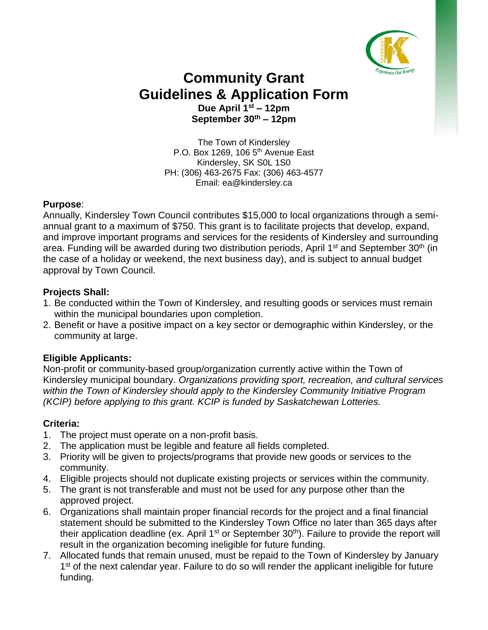

## **Community Grant Guidelines & Application Form Due April 1st – 12pm September 30th – 12pm**

The Town of Kindersley P.O. Box 1269, 106  $5<sup>th</sup>$  Avenue East Kindersley, SK S0L 1S0 PH: (306) 463-2675 Fax: (306) 463-4577 Email: ea@kindersley.ca

#### **Purpose**:

Annually, Kindersley Town Council contributes \$15,000 to local organizations through a semiannual grant to a maximum of \$750. This grant is to facilitate projects that develop, expand, and improve important programs and services for the residents of Kindersley and surrounding area. Funding will be awarded during two distribution periods, April 1<sup>st</sup> and September 30<sup>th</sup> (in the case of a holiday or weekend, the next business day), and is subject to annual budget approval by Town Council.

#### **Projects Shall:**

- 1. Be conducted within the Town of Kindersley, and resulting goods or services must remain within the municipal boundaries upon completion.
- 2. Benefit or have a positive impact on a key sector or demographic within Kindersley, or the community at large.

#### **Eligible Applicants:**

Non-profit or community-based group/organization currently active within the Town of Kindersley municipal boundary. *Organizations providing sport, recreation, and cultural services within the Town of Kindersley should apply to the Kindersley Community Initiative Program (KCIP) before applying to this grant. KCIP is funded by Saskatchewan Lotteries.*

#### **Criteria:**

- 1. The project must operate on a non-profit basis.
- 2. The application must be legible and feature all fields completed.
- 3. Priority will be given to projects/programs that provide new goods or services to the community.
- 4. Eligible projects should not duplicate existing projects or services within the community.
- 5. The grant is not transferable and must not be used for any purpose other than the approved project.
- 6. Organizations shall maintain proper financial records for the project and a final financial statement should be submitted to the Kindersley Town Office no later than 365 days after their application deadline (ex. April  $1<sup>st</sup>$  or September 30<sup>th</sup>). Failure to provide the report will result in the organization becoming ineligible for future funding.
- 7. Allocated funds that remain unused, must be repaid to the Town of Kindersley by January 1<sup>st</sup> of the next calendar year. Failure to do so will render the applicant ineligible for future funding.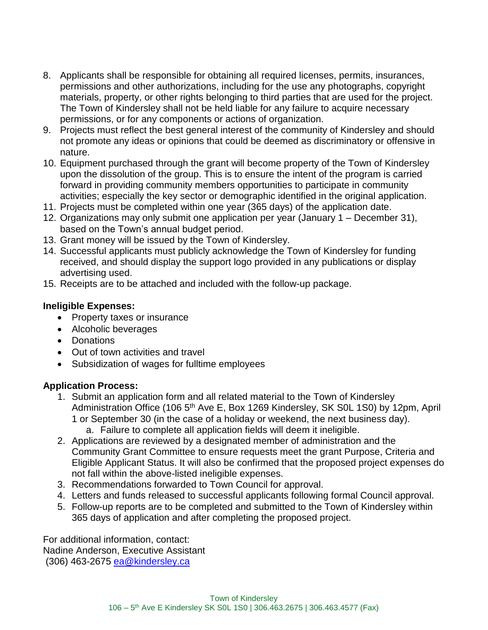- 8. Applicants shall be responsible for obtaining all required licenses, permits, insurances, permissions and other authorizations, including for the use any photographs, copyright materials, property, or other rights belonging to third parties that are used for the project. The Town of Kindersley shall not be held liable for any failure to acquire necessary permissions, or for any components or actions of organization.
- 9. Projects must reflect the best general interest of the community of Kindersley and should not promote any ideas or opinions that could be deemed as discriminatory or offensive in nature.
- 10. Equipment purchased through the grant will become property of the Town of Kindersley upon the dissolution of the group. This is to ensure the intent of the program is carried forward in providing community members opportunities to participate in community activities; especially the key sector or demographic identified in the original application.
- 11. Projects must be completed within one year (365 days) of the application date.
- 12. Organizations may only submit one application per year (January 1 December 31), based on the Town's annual budget period.
- 13. Grant money will be issued by the Town of Kindersley.
- 14. Successful applicants must publicly acknowledge the Town of Kindersley for funding received, and should display the support logo provided in any publications or display advertising used.
- 15. Receipts are to be attached and included with the follow-up package.

#### **Ineligible Expenses:**

- Property taxes or insurance
- Alcoholic beverages
- Donations
- Out of town activities and travel
- Subsidization of wages for fulltime employees

#### **Application Process:**

- 1. Submit an application form and all related material to the Town of Kindersley Administration Office (106 5<sup>th</sup> Ave E, Box 1269 Kindersley, SK S0L 1S0) by 12pm, April 1 or September 30 (in the case of a holiday or weekend, the next business day). a. Failure to complete all application fields will deem it ineligible.
- 2. Applications are reviewed by a designated member of administration and the Community Grant Committee to ensure requests meet the grant Purpose, Criteria and Eligible Applicant Status. It will also be confirmed that the proposed project expenses do not fall within the above-listed ineligible expenses.
- 3. Recommendations forwarded to Town Council for approval.
- 4. Letters and funds released to successful applicants following formal Council approval.
- 5. Follow-up reports are to be completed and submitted to the Town of Kindersley within 365 days of application and after completing the proposed project.

For additional information, contact: Nadine Anderson, Executive Assistant (306) 463-2675 [ea@kindersley.ca](mailto:ea@kindersley.ca)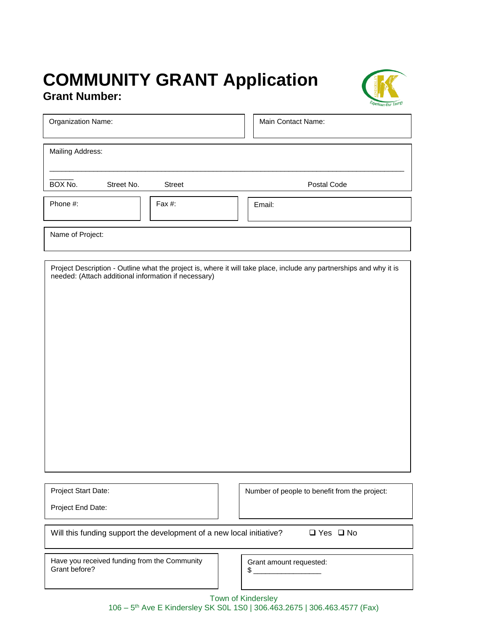# **COMMUNITY GRANT Application Grant Number:**



| Organization Name:                                   |           |  | Main Contact Name:                                                                                                  |  |  |
|------------------------------------------------------|-----------|--|---------------------------------------------------------------------------------------------------------------------|--|--|
| Mailing Address:                                     |           |  |                                                                                                                     |  |  |
| BOX No.<br>Street No.                                | Street    |  | Postal Code                                                                                                         |  |  |
| Phone #:                                             | Fax $#$ : |  | Email:                                                                                                              |  |  |
| Name of Project:                                     |           |  |                                                                                                                     |  |  |
| needed: (Attach additional information if necessary) |           |  | Project Description - Outline what the project is, where it will take place, include any partnerships and why it is |  |  |

Project Start Date:

Number of people to benefit from the project:

Project End Date:

Will this funding support the development of a new local initiative?  $\Box$  Yes  $\Box$  No

Have you received funding from the Community Grant before?

Grant amount requested:  $\mathfrak s$ 

Town of Kindersley

106 – 5 th Ave E Kindersley SK S0L 1S0 | 306.463.2675 | 306.463.4577 (Fax)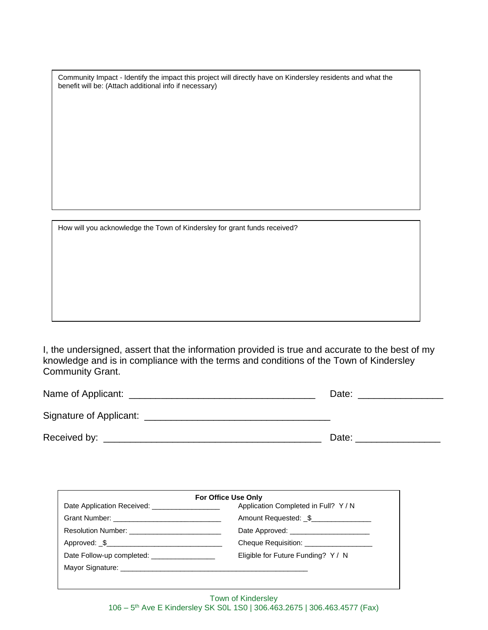Community Impact - Identify the impact this project will directly have on Kindersley residents and what the benefit will be: (Attach additional info if necessary)

How will you acknowledge the Town of Kindersley for grant funds received?

I, the undersigned, assert that the information provided is true and accurate to the best of my knowledge and is in compliance with the terms and conditions of the Town of Kindersley Community Grant.

| Name of Applicant:      | Date: |
|-------------------------|-------|
| Signature of Applicant: |       |
| Received by:            | Date: |

| Application Completed in Full? Y/N      |
|-----------------------------------------|
| Amount Requested: \$                    |
| Date Approved:                          |
| Cheque Requisition: ___________________ |
| Eligible for Future Funding? Y / N      |
|                                         |
|                                         |
|                                         |

Town of Kindersley 106 – 5 th Ave E Kindersley SK S0L 1S0 | 306.463.2675 | 306.463.4577 (Fax)